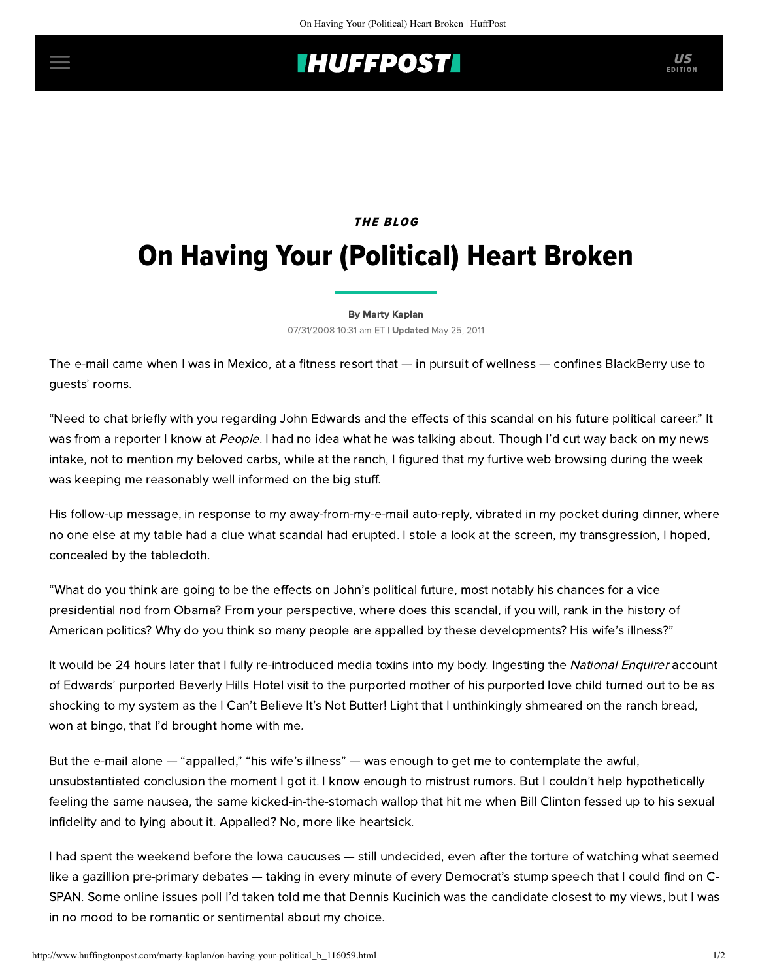## **IHUFFPOSTI** US

## **THE BLOG** On Having Your (Political) Heart Broken

## [By Marty Kaplan](http://www.huffingtonpost.com/author/marty-kaplan)

07/31/2008 10:31 am ET | Updated May 25, 2011

The e-mail came when I was in Mexico, at a fitness resort that — in pursuit of wellness — confines BlackBerry use to guests' rooms.

"Need to chat briefly with you regarding John Edwards and the effects of this scandal on his future political career." It was from a reporter I know at People. I had no idea what he was talking about. Though I'd cut way back on my news intake, not to mention my beloved carbs, while at the ranch, I figured that my furtive web browsing during the week was keeping me reasonably well informed on the big stuff.

His follow-up message, in response to my away-from-my-e-mail auto-reply, vibrated in my pocket during dinner, where no one else at my table had a clue what scandal had erupted. I stole a look at the screen, my transgression, I hoped, concealed by the tablecloth.

"What do you think are going to be the effects on John's political future, most notably his chances for a vice presidential nod from Obama? From your perspective, where does this scandal, if you will, rank in the history of American politics? Why do you think so many people are appalled by these developments? His wife's illness?"

It would be 24 hours later that I fully re-introduced media toxins into my body. Ingesting the National Enquirer account of Edwards' purported Beverly Hills Hotel visit to the purported mother of his purported love child turned out to be as shocking to my system as the I Can't Believe It's Not Butter! Light that I unthinkingly shmeared on the ranch bread, won at bingo, that I'd brought home with me.

But the e-mail alone — "appalled," "his wife's illness" — was enough to get me to contemplate the awful, unsubstantiated conclusion the moment I got it. I know enough to mistrust rumors. But I couldn't help hypothetically feeling the same nausea, the same kicked-in-the-stomach wallop that hit me when Bill Clinton fessed up to his sexual infidelity and to lying about it. Appalled? No, more like heartsick.

I had spent the weekend before the Iowa caucuses — still undecided, even after the torture of watching what seemed like a gazillion pre-primary debates — taking in every minute of every Democrat's stump speech that I could find on C-SPAN. Some online issues poll I'd taken told me that Dennis Kucinich was the candidate closest to my views, but I was in no mood to be romantic or sentimental about my choice.